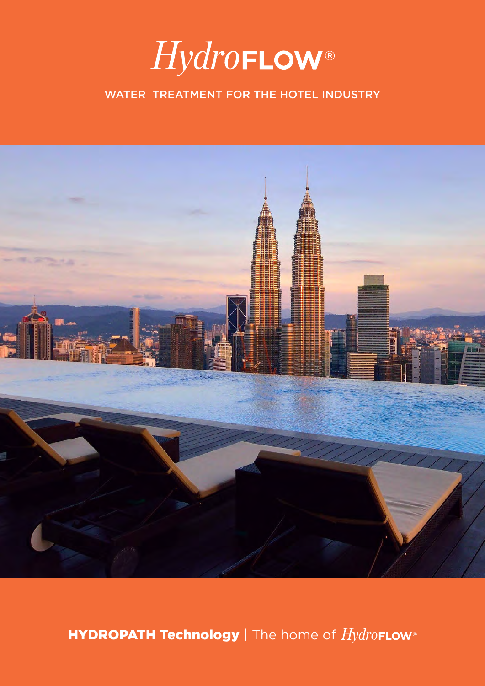

### WATER TREATMENT FOR THE HOTEL INDUSTRY



HYDROPATH Technology | The home of HydroFLow®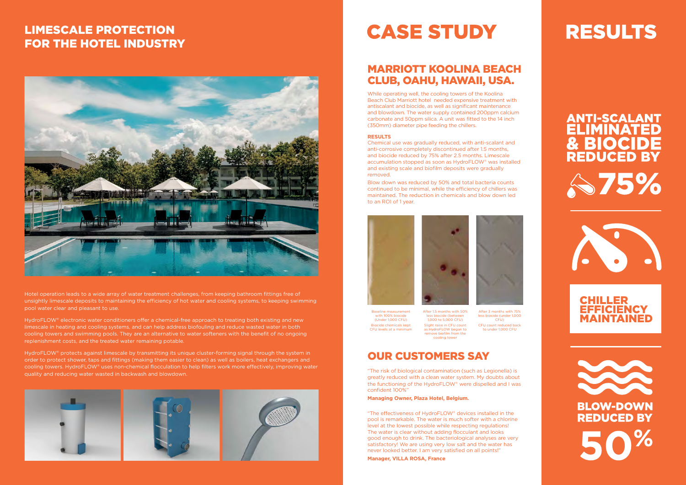Hotel operation leads to a wide array of water treatment challenges, from keeping bathroom fittings free of unsightly limescale deposits to maintaining the efficiency of hot water and cooling systems, to keeping swimming pool water clear and pleasant to use.

HydroFLOW® electronic water conditioners offer a chemical-free approach to treating both existing and new HydroFLOW® electronic water conditioners offer a chemical-free approach to treating both existing and new<br>limescale in heating and cooling systems, and can help address biofouling and reduce wasted water in both cooling towers and swimming pools. They are an alternative to water softeners with the benefit of no ongoing<br>replenishment costs, and the treated water remaining potable. replenishment costs, and the treated water remaining potable.<br>| droFLOW® electronic water conditioners offer a chemical-free approach<br>iescale in heating and cooling systems, and can help address biofouling a<br>oling towers and swimming pools. They are an alternative to water softer ted water in both<br>enefit of no ongoing and state of the set of the set of the set of the set of the set of the set of the set of (between 1,000 CFU) to 5,000 CFU

HydroFLOW® protects against limescale by transmitting its unique cluster-forming signal through the system in order to protect shower, taps and fittings (making them easier to clean) as well as boilers, heat exchangers and order to protect snower, taps and fittings (making them easier to clean) as well as bollers, heat exchangers and<br>cooling towers. HydroFLOW® uses non-chemical flocculation to help filters work more effectively, improving wa quality and reducing water wasted in backwash and blowdown. FLOW® uses non-chemical flocculation to help filters work more effectively, improving water **Film Communist Communist Communist Provin**<br>vater wasted in backwash and blowdown

"The risk of biological contamination (such as Legionella) is The risk of biological contamination (such as Legionella) is<br>greatly reduced with a clean water system. My doubts about<br>the functioning of the Undustrial OWS were directed and tools greatly reduced with a clean water system. Hy doduct about<br>the functioning of the HydroFLOW® were dispelled and I was<br>confident 100%" confident 100%" confident 100%"<br>**Managing Owner, Plaza Hotel, Belgium.** Based in CFU count and the measurement with the measurement with the measurement with a clean water system. My doubts about an analyze of the measurement of the measurement of the measurement of the measurement of the meas

## LIMESCALE PROTECTION FOR THE HOTEL INDUSTRY

## MARRIOTT KOOLINA BEACH CLUB, OAHU, HAWAII, USA.

While operating well, the cooling towers of the Koolina Beach Club Marriott hotel needed expensive treatment with antiscalant and biocide, as well as significant maintenance and blowdown. The water supply contained 200ppm calcium carbonate and 50ppm silica. A unit was fitted to the 14 inch (350mm) diameter pipe feeding the chillers.

**External of The effectiveness of HydroFLOW® devices installed in the CFU levels** kept CFU levels kept CFU levels pool is remarkable. The water is much softer with a chlorine level at the lowest possible while respecting regulations! The water is clear without adding flocculant and looks good enough to drink. The bacteriological analyses are very satisfactory! We are using very low salt and the water has never looked better. I am very satisfied on all points!"

After 1.5 months with 50% less biocide (between 1,000 to 5,000 CFU) Slight raise in CFU count as HydroFLOW began to remove biofilm from the cooling tower Biocide chemicals kept Slight raise in CFU count CFU count reduced back<br>CFU levels at a minimum as HydroFLOW began to to under 1,000 CFU<br>remove biofilm from the cooling tower

### **RESULTS**

Chemical use was gradually reduced, with anti-scalant and anti-corrosive completely discontinued after 1.5 months, and biocide reduced by 75% after 2.5 months. Limescale accumulation stopped as soon as HydroFLOW® was installed and existing scale and biofilm deposits were gradually and the tower of the tower of the tower's recount in the tower of the tower's recount in the tower's recount in the tower's recount in the tower's recount in the tower removed.

> Blow down was reduced by 50% and total bacteria counts continued to be minimal, while the efficiency of chillers was maintained. The reduction in chemicals and blow down led to an ROI of 1 year.





## OUR CUSTOMERS SAY

**Manager, VILLA ROSA, France**

## **RESULTS**

# **ANTI-SCALANT<br>ELIMINATED** & BIOCIDE<br>REDUCED BY S75%



Baseline measurement with 100% biocide (Under 1,000 CFU) Biocide chemicals kept CFU levels at a minimum After 3 months with 75% less biocide (under 1,000 CFU)









# **CASE STUDY**

biocide (under 1,000 CFU)